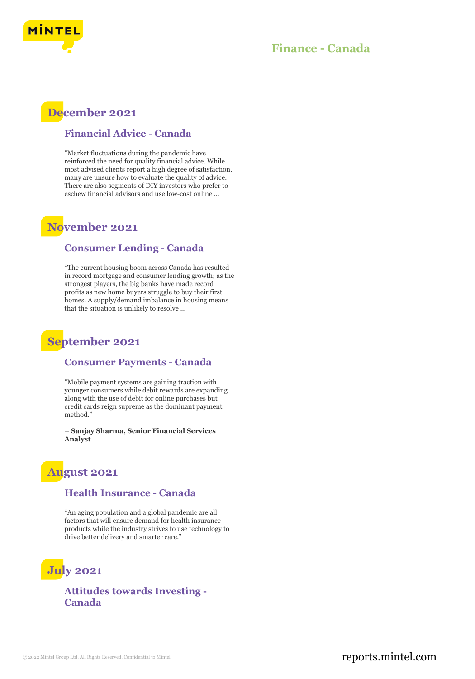

## **Finance - Canada**

## **December 2021**

### **Financial Advice - Canada**

"Market fluctuations during the pandemic have reinforced the need for quality financial advice. While most advised clients report a high degree of satisfaction, many are unsure how to evaluate the quality of advice. There are also segments of DIY investors who prefer to eschew financial advisors and use low-cost online ...

## **November 2021**

### **Consumer Lending - Canada**

"The current housing boom across Canada has resulted in record mortgage and consumer lending growth; as the strongest players, the big banks have made record profits as new home buyers struggle to buy their first homes. A supply/demand imbalance in housing means that the situation is unlikely to resolve ...

## **September 2021**

#### **Consumer Payments - Canada**

"Mobile payment systems are gaining traction with younger consumers while debit rewards are expanding along with the use of debit for online purchases but credit cards reign supreme as the dominant payment method."

**– Sanjay Sharma, Senior Financial Services Analyst**

## **August 2021**

### **Health Insurance - Canada**

"An aging population and a global pandemic are all factors that will ensure demand for health insurance products while the industry strives to use technology to drive better delivery and smarter care."

# **July 2021**

**Attitudes towards Investing - Canada**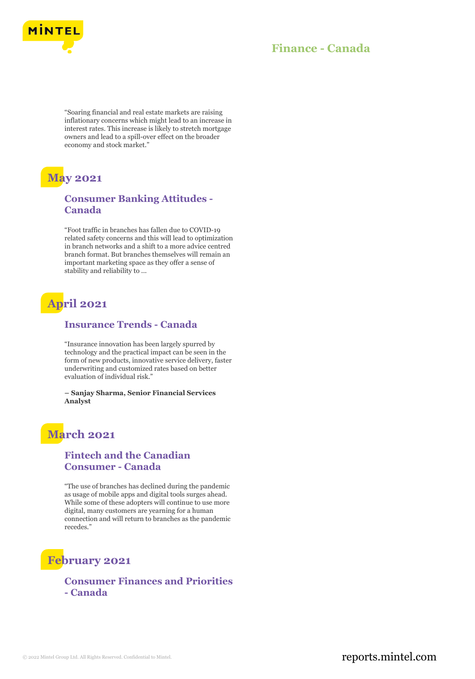

### **Finance - Canada**

"Soaring financial and real estate markets are raising inflationary concerns which might lead to an increase in interest rates. This increase is likely to stretch mortgage owners and lead to a spill-over effect on the broader economy and stock market."

# **May 2021**

### **Consumer Banking Attitudes - Canada**

"Foot traffic in branches has fallen due to COVID-19 related safety concerns and this will lead to optimization in branch networks and a shift to a more advice centred branch format. But branches themselves will remain an important marketing space as they offer a sense of stability and reliability to ...

# **April 2021**

#### **Insurance Trends - Canada**

"Insurance innovation has been largely spurred by technology and the practical impact can be seen in the form of new products, innovative service delivery, faster underwriting and customized rates based on better evaluation of individual risk."

**– Sanjay Sharma, Senior Financial Services Analyst**

# **March 2021**

### **Fintech and the Canadian Consumer - Canada**

"The use of branches has declined during the pandemic as usage of mobile apps and digital tools surges ahead. While some of these adopters will continue to use more digital, many customers are yearning for a human connection and will return to branches as the pandemic recedes."

## **February 2021**

**Consumer Finances and Priorities - Canada**